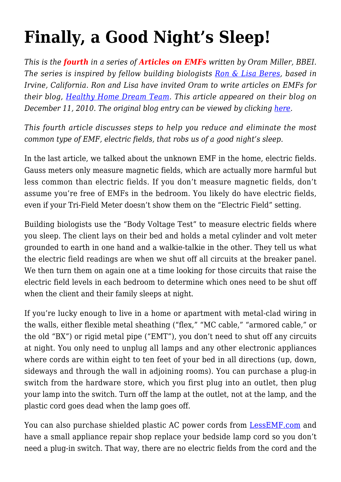## **[Finally, a Good Night's Sleep!](https://createhealthyhomes.com/education/emfs-good-sleep/)**

*This is the fourth in a series of Articles on EMFs written by Oram Miller, BBEI. The series is inspired by fellow building biologists [Ron & Lisa Beres](http://ronandlisa.com/), based in Irvine, California. Ron and Lisa have invited Oram to write articles on EMFs for their blog, [Healthy Home Dream Team.](http://ronandlisa.com/) This article appeared on their blog on December 11, 2010. The original blog entry can be viewed by clicking [here](http://ronandlisa.com/2010/12/11/finally-a-good-nights-sleep-and-a-healthier-ho-ho-home/).* 

*This fourth article discusses steps to help you reduce and eliminate the most common type of EMF, electric fields, that robs us of a good night's sleep.*

In the last article, we talked about the unknown EMF in the home, electric fields. Gauss meters only measure magnetic fields, which are actually more harmful but less common than electric fields. If you don't measure magnetic fields, don't assume you're free of EMFs in the bedroom. You likely do have electric fields, even if your Tri-Field Meter doesn't show them on the "Electric Field" setting.

Building biologists use the "Body Voltage Test" to measure electric fields where you sleep. The client lays on their bed and holds a metal cylinder and volt meter grounded to earth in one hand and a walkie-talkie in the other. They tell us what the electric field readings are when we shut off all circuits at the breaker panel. We then turn them on again one at a time looking for those circuits that raise the electric field levels in each bedroom to determine which ones need to be shut off when the client and their family sleeps at night.

If you're lucky enough to live in a home or apartment with metal-clad wiring in the walls, either flexible metal sheathing ("flex," "MC cable," "armored cable," or the old "BX") or rigid metal pipe ("EMT"), you don't need to shut off any circuits at night. You only need to unplug all lamps and any other electronic appliances where cords are within eight to ten feet of your bed in all directions (up, down, sideways and through the wall in adjoining rooms). You can purchase a plug-in switch from the hardware store, which you first plug into an outlet, then plug your lamp into the switch. Turn off the lamp at the outlet, not at the lamp, and the plastic cord goes dead when the lamp goes off.

You can also purchase shielded plastic AC power cords from [LessEMF.com](http://www.lessemf.com/) and have a small appliance repair shop replace your bedside lamp cord so you don't need a plug-in switch. That way, there are no electric fields from the cord and the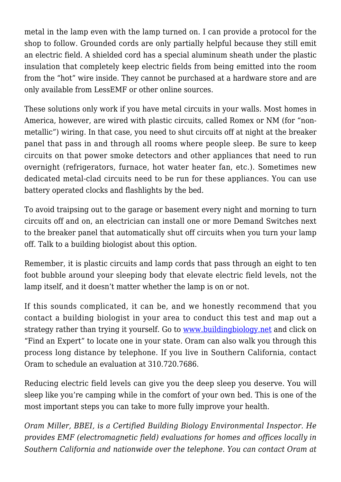metal in the lamp even with the lamp turned on. I can provide a protocol for the shop to follow. Grounded cords are only partially helpful because they still emit an electric field. A shielded cord has a special aluminum sheath under the plastic insulation that completely keep electric fields from being emitted into the room from the "hot" wire inside. They cannot be purchased at a hardware store and are only available from LessEMF or other online sources.

These solutions only work if you have metal circuits in your walls. Most homes in America, however, are wired with plastic circuits, called Romex or NM (for "nonmetallic") wiring. In that case, you need to shut circuits off at night at the breaker panel that pass in and through all rooms where people sleep. Be sure to keep circuits on that power smoke detectors and other appliances that need to run overnight (refrigerators, furnace, hot water heater fan, etc.). Sometimes new dedicated metal-clad circuits need to be run for these appliances. You can use battery operated clocks and flashlights by the bed.

To avoid traipsing out to the garage or basement every night and morning to turn circuits off and on, an electrician can install one or more Demand Switches next to the breaker panel that automatically shut off circuits when you turn your lamp off. Talk to a building biologist about this option.

Remember, it is plastic circuits and lamp cords that pass through an eight to ten foot bubble around your sleeping body that elevate electric field levels, not the lamp itself, and it doesn't matter whether the lamp is on or not.

If this sounds complicated, it can be, and we honestly recommend that you contact a building biologist in your area to conduct this test and map out a strategy rather than trying it yourself. Go to [www.buildingbiology.net](http://www.buildingbiology.net/) and click on "Find an Expert" to locate one in your state. Oram can also walk you through this process long distance by telephone. If you live in Southern California, contact Oram to schedule an evaluation at 310.720.7686.

Reducing electric field levels can give you the deep sleep you deserve. You will sleep like you're camping while in the comfort of your own bed. This is one of the most important steps you can take to more fully improve your health.

*Oram Miller, BBEI, is a Certified Building Biology Environmental Inspector. He provides EMF (electromagnetic field) evaluations for homes and offices locally in Southern California and nationwide over the telephone. You can contact Oram at*